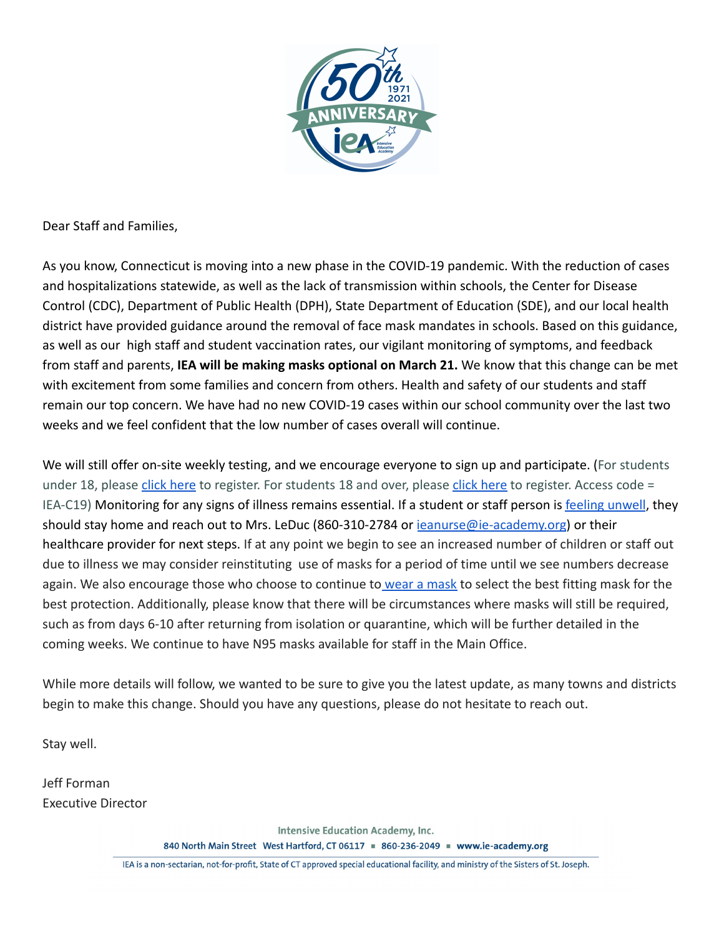

Dear Staff and Families,

As you know, Connecticut is moving into a new phase in the COVID-19 pandemic. With the reduction of cases and hospitalizations statewide, as well as the lack of transmission within schools, the Center for Disease Control (CDC), Department of Public Health (DPH), State Department of Education (SDE), and our local health district have provided guidance around the removal of face mask mandates in schools. Based on this guidance, as well as our high staff and student vaccination rates, our vigilant monitoring of symptoms, and feedback from staff and parents, **IEA will be making masks optional on March 21.** We know that this change can be met with excitement from some families and concern from others. Health and safety of our students and staff remain our top concern. We have had no new COVID-19 cases within our school community over the last two weeks and we feel confident that the low number of cases overall will continue.

We will still offer on-site weekly testing, and we encourage everyone to sign up and participate. (For students under 18, please [click here](https://testcenter.concentricbyginkgo.com/invite-by-code) to register. For students 18 and over, please click here to register. Access code = IEA-C19) Monitoring for any signs of illness remains essential. If a student or staff person is [feeling](https://docs.google.com/document/d/1mC3coOA4eQ5tI6UGBir2sC6Sj9VEcMFl1ONMGgwZFFI/edit?usp=sharing) unwell, they should stay home and reach out to Mrs. LeDuc (860-310-2784 or [ieanurse@ie-academy.org](mailto:ieanurse@ie-academy.org)) or their healthcare provider for next steps. If at any point we begin to see an increased number of children or staff out due to illness we may consider reinstituting use of masks for a period of time until we see numbers decrease again. We also encourage those who choose to continue to [wear a mask](https://www.cdc.gov/coronavirus/2019-ncov/prevent-getting-sick/about-face-coverings.html) to select the best fitting mask for the best protection. Additionally, please know that there will be circumstances where masks will still be required, such as from days 6-10 after returning from isolation or quarantine, which will be further detailed in the coming weeks. We continue to have N95 masks available for staff in the Main Office.

While more details will follow, we wanted to be sure to give you the latest update, as many towns and districts begin to make this change. Should you have any questions, please do not hesitate to reach out.

Stay well.

Jeff Forman Executive Director

**Intensive Education Academy, Inc.** 

840 North Main Street West Hartford, CT 06117 = 860-236-2049 = www.ie-academy.org

IEA is a non-sectarian, not-for-profit, State of CT approved special educational facility, and ministry of the Sisters of St. Joseph.